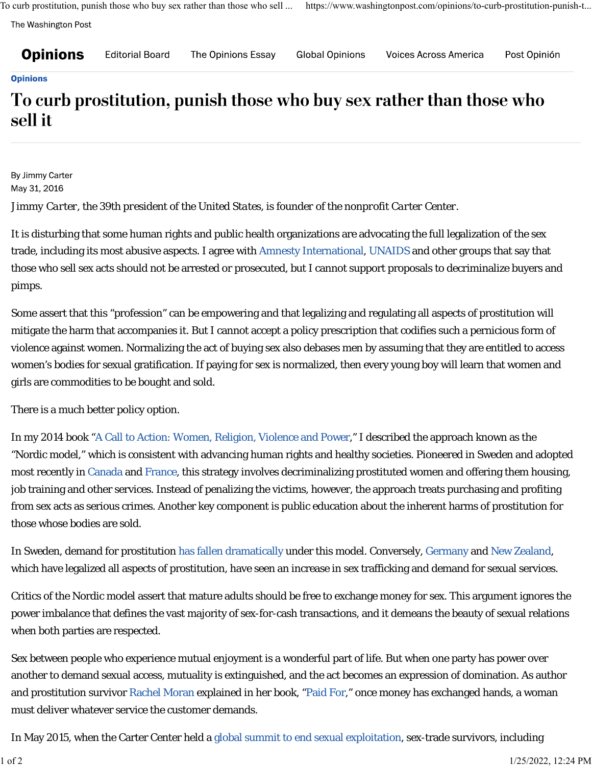The Washington Post

| <b>Opinions</b> | <b>Editorial Board</b> |
|-----------------|------------------------|
|                 |                        |

The Opinions Essay

**Global Opinions** 

**Voices Across America** 

Post Opinión

## **Opinions**

## To curb prostitution, punish those who buy sex rather than those who sell it

By Jimmy Carter May 31, 2016

*Jimmy Carter, the 39th president of the United States, is founder of the nonprofit Carter Center.*

It is disturbing that some human rights and public health organizations are advocating the full legalization of the sex trade, including its most abusive aspects. I agree with Amnesty International, UNAIDS and other groups that say that those who sell sex acts should not be arrested or prosecuted, but I cannot support proposals to decriminalize buyers and pimps.

Some assert that this "profession" can be empowering and that legalizing and regulating all aspects of prostitution will mitigate the harm that accompanies it. But I cannot accept a policy prescription that codifies such a pernicious form of violence against women. Normalizing the act of buying sex also debases men by assuming that they are entitled to access women's bodies for sexual gratification. If paying for sex is normalized, then every young boy will learn that women and girls are commodities to be bought and sold.

There is a much better policy option.

In my 2014 book "A Call to Action: Women, Religion, Violence and Power," I described the approach known as the "Nordic model," which is consistent with advancing human rights and healthy societies. Pioneered in Sweden and adopted most recently in Canada and France, this strategy involves decriminalizing prostituted women and offering them housing, job training and other services. Instead of penalizing the victims, however, the approach treats purchasing and profiting from sex acts as serious crimes. Another key component is public education about the inherent harms of prostitution for those whose bodies are sold.

In Sweden, demand for prostitution has fallen dramatically under this model. Conversely, Germany and New Zealand, which have legalized all aspects of prostitution, have seen an increase in sex trafficking and demand for sexual services.

Critics of the Nordic model assert that mature adults should be free to exchange money for sex. This argument ignores the power imbalance that defines the vast majority of sex-for-cash transactions, and it demeans the beauty of sexual relations when both parties are respected.

Sex between people who experience mutual enjoyment is a wonderful part of life. But when one party has power over another to demand sexual access, mutuality is extinguished, and the act becomes an expression of domination. As author and prostitution survivor Rachel Moran explained in her book, "Paid For," once money has exchanged hands, a woman must deliver whatever service the customer demands.

In May 2015, when the Carter Center held a global summit to end sexual exploitation, sex-trade survivors, including